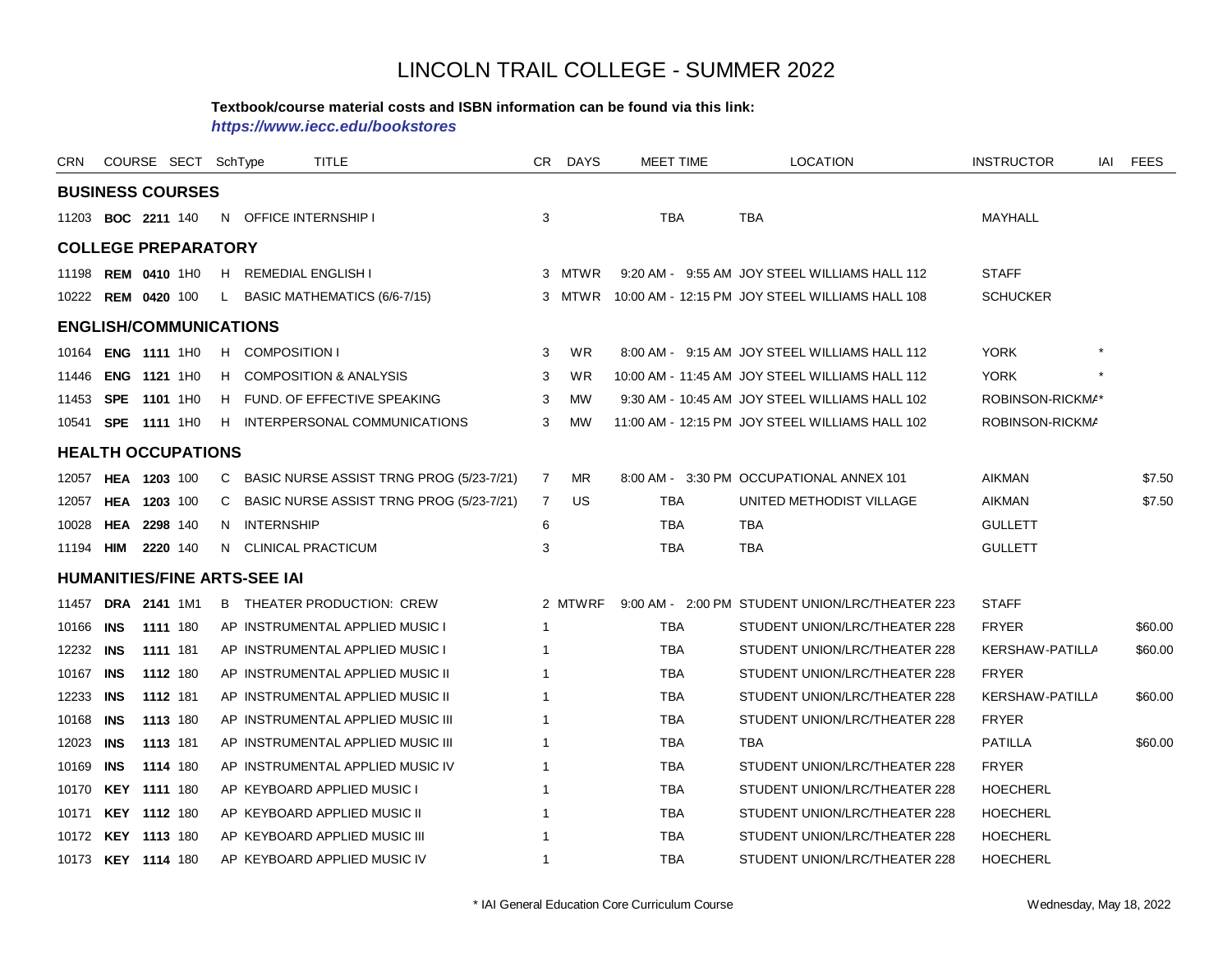#### **Textbook/course material costs and ISBN information can be found via this link:**

*https://www.iecc.edu/bookstores*

| CRN       |                            | COURSE SECT SchType |    |                                     | <b>TITLE</b>                             | CR.            | <b>DAYS</b> | <b>MEET TIME</b> | <b>LOCATION</b>                                        | <b>INSTRUCTOR</b> | IAI | <b>FEES</b> |
|-----------|----------------------------|---------------------|----|-------------------------------------|------------------------------------------|----------------|-------------|------------------|--------------------------------------------------------|-------------------|-----|-------------|
|           | <b>BUSINESS COURSES</b>    |                     |    |                                     |                                          |                |             |                  |                                                        |                   |     |             |
|           | 11203 <b>BOC 2211</b> 140  |                     |    |                                     | N OFFICE INTERNSHIP I                    | 3              |             | <b>TBA</b>       | <b>TBA</b>                                             | MAYHALL           |     |             |
|           | <b>COLLEGE PREPARATORY</b> |                     |    |                                     |                                          |                |             |                  |                                                        |                   |     |             |
|           | 11198 REM 0410 1H0         |                     |    |                                     | H REMEDIAL ENGLISH I                     |                | 3 MTWR      |                  | 9:20 AM - 9:55 AM JOY STEEL WILLIAMS HALL 112          | <b>STAFF</b>      |     |             |
|           | 10222 REM 0420 100         |                     |    |                                     | L BASIC MATHEMATICS (6/6-7/15)           |                |             |                  | 3 MTWR 10:00 AM - 12:15 PM JOY STEEL WILLIAMS HALL 108 | <b>SCHUCKER</b>   |     |             |
|           |                            |                     |    | <b>ENGLISH/COMMUNICATIONS</b>       |                                          |                |             |                  |                                                        |                   |     |             |
| 10164     |                            | ENG 1111 1H0        |    | H COMPOSITION I                     |                                          | 3              | <b>WR</b>   |                  | 8:00 AM - 9:15 AM JOY STEEL WILLIAMS HALL 112          | <b>YORK</b>       |     |             |
| 11446     |                            | <b>ENG 1121 1H0</b> | H  |                                     | <b>COMPOSITION &amp; ANALYSIS</b>        | 3              | <b>WR</b>   |                  | 10:00 AM - 11:45 AM JOY STEEL WILLIAMS HALL 112        | <b>YORK</b>       |     |             |
| 11453     | <b>SPE</b>                 | 1101 1H0            | H  |                                     | FUND. OF EFFECTIVE SPEAKING              | 3              | <b>MW</b>   |                  | 9:30 AM - 10:45 AM JOY STEEL WILLIAMS HALL 102         | ROBINSON-RICKMA*  |     |             |
| 10541     |                            | <b>SPE 1111 1H0</b> |    |                                     | H INTERPERSONAL COMMUNICATIONS           | 3              | <b>MW</b>   |                  | 11:00 AM - 12:15 PM JOY STEEL WILLIAMS HALL 102        | ROBINSON-RICKMA   |     |             |
|           | <b>HEALTH OCCUPATIONS</b>  |                     |    |                                     |                                          |                |             |                  |                                                        |                   |     |             |
|           | 12057 HEA 1203 100         |                     | C  |                                     | BASIC NURSE ASSIST TRNG PROG (5/23-7/21) | $\overline{7}$ | <b>MR</b>   |                  | 8:00 AM - 3:30 PM OCCUPATIONAL ANNEX 101               | <b>AIKMAN</b>     |     | \$7.50      |
| 12057     |                            | HEA 1203 100        | C  |                                     | BASIC NURSE ASSIST TRNG PROG (5/23-7/21) | 7              | <b>US</b>   | <b>TBA</b>       | UNITED METHODIST VILLAGE                               | <b>AIKMAN</b>     |     | \$7.50      |
| 10028     |                            | HEA 2298 140        | N. | <b>INTERNSHIP</b>                   |                                          | 6              |             | <b>TBA</b>       | <b>TBA</b>                                             | <b>GULLETT</b>    |     |             |
| 11194     | HIM                        | 2220 140            | N. |                                     | <b>CLINICAL PRACTICUM</b>                | 3              |             | <b>TBA</b>       | <b>TBA</b>                                             | <b>GULLETT</b>    |     |             |
|           |                            |                     |    | <b>HUMANITIES/FINE ARTS-SEE IAI</b> |                                          |                |             |                  |                                                        |                   |     |             |
| 11457     |                            | DRA 2141 1M1        |    |                                     | <b>B</b> THEATER PRODUCTION: CREW        |                | 2 MTWRF     |                  | 9:00 AM - 2:00 PM STUDENT UNION/LRC/THEATER 223        | <b>STAFF</b>      |     |             |
| 10166     | <b>INS</b>                 | 1111 180            |    |                                     | AP INSTRUMENTAL APPLIED MUSIC I          | 1              |             | <b>TBA</b>       | STUDENT UNION/LRC/THEATER 228                          | <b>FRYER</b>      |     | \$60.00     |
| 12232     | <b>INS</b>                 | 1111 181            |    |                                     | AP INSTRUMENTAL APPLIED MUSIC I          |                |             | <b>TBA</b>       | STUDENT UNION/LRC/THEATER 228                          | KERSHAW-PATILLA   |     | \$60.00     |
| 10167     | INS                        | 1112 180            |    |                                     | AP INSTRUMENTAL APPLIED MUSIC II         |                |             | <b>TBA</b>       | STUDENT UNION/LRC/THEATER 228                          | <b>FRYER</b>      |     |             |
| 12233 INS |                            | 1112 181            |    |                                     | AP INSTRUMENTAL APPLIED MUSIC II         | 1              |             | <b>TBA</b>       | STUDENT UNION/LRC/THEATER 228                          | KERSHAW-PATILLA   |     | \$60.00     |
| 10168     | <b>INS</b>                 | 1113 180            |    |                                     | AP INSTRUMENTAL APPLIED MUSIC III        |                |             | <b>TBA</b>       | STUDENT UNION/LRC/THEATER 228                          | <b>FRYER</b>      |     |             |
| 12023     | INS                        | 1113 181            |    |                                     | AP INSTRUMENTAL APPLIED MUSIC III        | -1             |             | TBA              | TBA                                                    | <b>PATILLA</b>    |     | \$60.00     |
| 10169     | <b>INS</b>                 | 1114 180            |    |                                     | AP INSTRUMENTAL APPLIED MUSIC IV         | -1             |             | <b>TBA</b>       | STUDENT UNION/LRC/THEATER 228                          | <b>FRYER</b>      |     |             |
| 10170     |                            | <b>KEY 1111 180</b> |    |                                     | AP KEYBOARD APPLIED MUSIC I              |                |             | <b>TBA</b>       | STUDENT UNION/LRC/THEATER 228                          | <b>HOECHERL</b>   |     |             |
| 10171     |                            | KEY 1112 180        |    |                                     | AP KEYBOARD APPLIED MUSIC II             | -1             |             | <b>TBA</b>       | STUDENT UNION/LRC/THEATER 228                          | <b>HOECHERL</b>   |     |             |
| 10172     |                            | <b>KEY 1113 180</b> |    |                                     | AP KEYBOARD APPLIED MUSIC III            |                |             | <b>TBA</b>       | STUDENT UNION/LRC/THEATER 228                          | <b>HOECHERL</b>   |     |             |
|           | 10173 KEY 1114 180         |                     |    |                                     | AP KEYBOARD APPLIED MUSIC IV             | 1              |             | <b>TBA</b>       | STUDENT UNION/LRC/THEATER 228                          | <b>HOECHERL</b>   |     |             |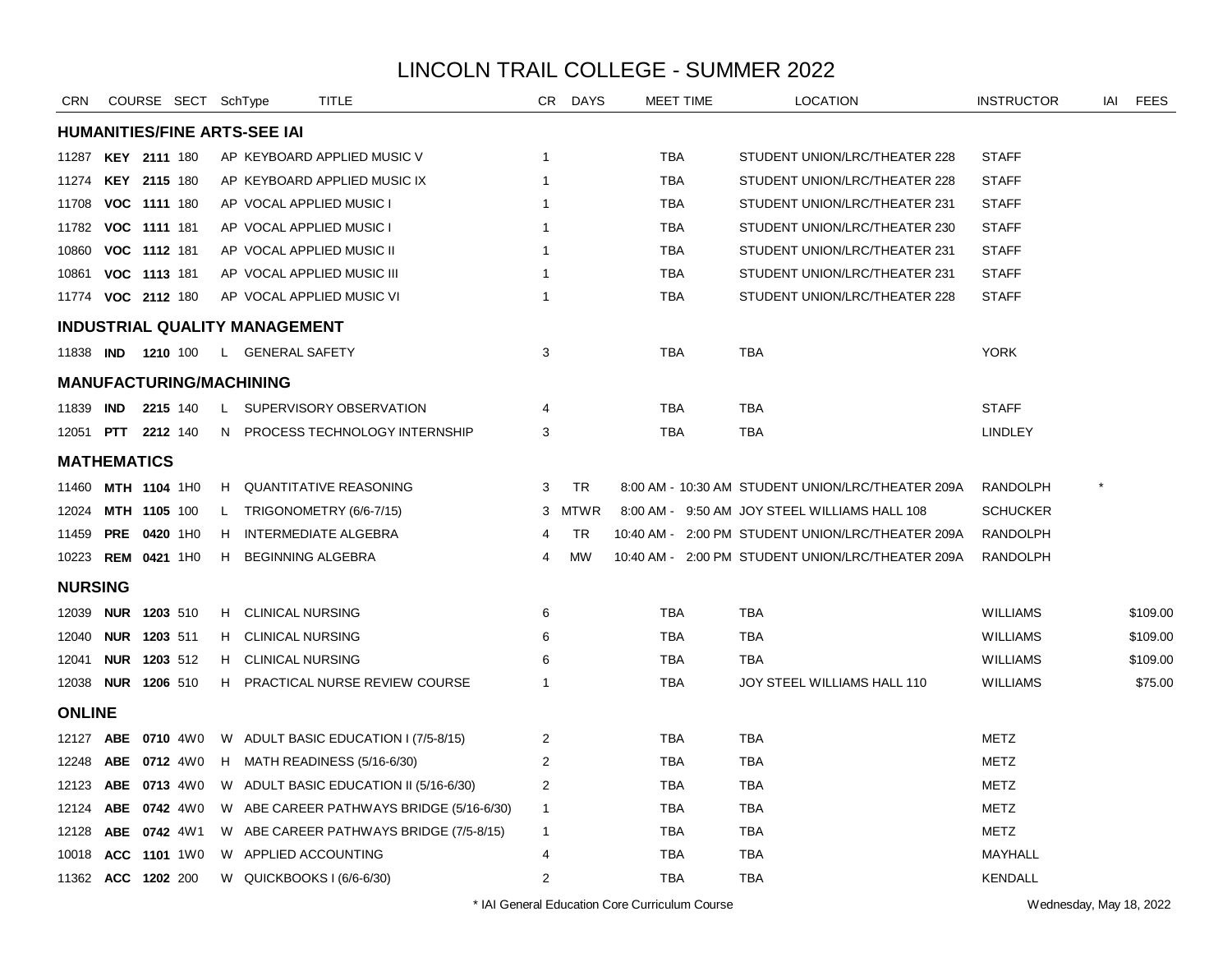| <b>CRN</b>                |                           |              | COURSE SECT SchType |              |                                      | TITLE                                    | CR .                    | <b>DAYS</b> | MEET TIME  | <b>LOCATION</b>                                   | <b>INSTRUCTOR</b> | IAI | <b>FEES</b> |
|---------------------------|---------------------------|--------------|---------------------|--------------|--------------------------------------|------------------------------------------|-------------------------|-------------|------------|---------------------------------------------------|-------------------|-----|-------------|
|                           |                           |              |                     |              | <b>HUMANITIES/FINE ARTS-SEE IAI</b>  |                                          |                         |             |            |                                                   |                   |     |             |
| 11287                     | <b>KEY 2111 180</b>       |              |                     |              |                                      | AP KEYBOARD APPLIED MUSIC V              | $\overline{1}$          |             | <b>TBA</b> | STUDENT UNION/LRC/THEATER 228                     | <b>STAFF</b>      |     |             |
| 11274                     | <b>KEY 2115 180</b>       |              |                     |              |                                      | AP KEYBOARD APPLIED MUSIC IX             | $\mathbf{1}$            |             | <b>TBA</b> | STUDENT UNION/LRC/THEATER 228                     | <b>STAFF</b>      |     |             |
| 11708                     | VOC 1111 180              |              |                     |              |                                      | AP VOCAL APPLIED MUSIC I                 | 1                       |             | TBA        | STUDENT UNION/LRC/THEATER 231                     | <b>STAFF</b>      |     |             |
| 11782                     | VOC 1111 181              |              |                     |              |                                      | AP VOCAL APPLIED MUSIC I                 | $\mathbf{1}$            |             | <b>TBA</b> | STUDENT UNION/LRC/THEATER 230                     | <b>STAFF</b>      |     |             |
| 10860                     | VOC 1112 181              |              |                     |              |                                      | AP VOCAL APPLIED MUSIC II                | $\mathbf{1}$            |             | <b>TBA</b> | STUDENT UNION/LRC/THEATER 231                     | <b>STAFF</b>      |     |             |
| 10861                     | VOC 1113 181              |              |                     |              |                                      | AP VOCAL APPLIED MUSIC III               | $\mathbf{1}$            |             | <b>TBA</b> | STUDENT UNION/LRC/THEATER 231                     | <b>STAFF</b>      |     |             |
| 11774 VOC 2112 180        |                           |              |                     |              |                                      | AP VOCAL APPLIED MUSIC VI                | $\mathbf 1$             |             | <b>TBA</b> | STUDENT UNION/LRC/THEATER 228                     | <b>STAFF</b>      |     |             |
|                           |                           |              |                     |              | <b>INDUSTRIAL QUALITY MANAGEMENT</b> |                                          |                         |             |            |                                                   |                   |     |             |
| 11838 <b>IND 1210</b> 100 |                           |              |                     |              | L GENERAL SAFETY                     |                                          | 3                       |             | <b>TBA</b> | <b>TBA</b>                                        | <b>YORK</b>       |     |             |
|                           |                           |              |                     |              | <b>MANUFACTURING/MACHINING</b>       |                                          |                         |             |            |                                                   |                   |     |             |
| 11839                     | <b>IND</b>                |              | 2215 140            |              |                                      | L SUPERVISORY OBSERVATION                | 4                       |             | TBA        | TBA                                               | <b>STAFF</b>      |     |             |
|                           | 12051 <b>PTT 2212</b> 140 |              |                     |              |                                      | N PROCESS TECHNOLOGY INTERNSHIP          | 3                       |             | <b>TBA</b> | <b>TBA</b>                                        | <b>LINDLEY</b>    |     |             |
| <b>MATHEMATICS</b>        |                           |              |                     |              |                                      |                                          |                         |             |            |                                                   |                   |     |             |
| 11460                     | <b>MTH 1104 1H0</b>       |              |                     |              |                                      | H QUANTITATIVE REASONING                 | 3                       | <b>TR</b>   |            | 8:00 AM - 10:30 AM STUDENT UNION/LRC/THEATER 209A | <b>RANDOLPH</b>   |     |             |
| 12024                     |                           | MTH 1105 100 |                     | $\mathsf{L}$ |                                      | TRIGONOMETRY (6/6-7/15)                  |                         | 3 MTWR      |            | 8:00 AM - 9:50 AM JOY STEEL WILLIAMS HALL 108     | <b>SCHUCKER</b>   |     |             |
| 11459                     | <b>PRE 0420 1H0</b>       |              |                     | H.           |                                      | <b>INTERMEDIATE ALGEBRA</b>              | 4                       | TR          |            | 10:40 AM - 2:00 PM STUDENT UNION/LRC/THEATER 209A | <b>RANDOLPH</b>   |     |             |
| 10223 REM 0421 1H0        |                           |              |                     | H.           | <b>BEGINNING ALGEBRA</b>             |                                          | 4                       | <b>MW</b>   |            | 10:40 AM - 2:00 PM STUDENT UNION/LRC/THEATER 209A | <b>RANDOLPH</b>   |     |             |
| <b>NURSING</b>            |                           |              |                     |              |                                      |                                          |                         |             |            |                                                   |                   |     |             |
|                           | 12039 <b>NUR 1203</b> 510 |              |                     |              | H CLINICAL NURSING                   |                                          | 6                       |             | <b>TBA</b> | <b>TBA</b>                                        | <b>WILLIAMS</b>   |     | \$109.00    |
| 12040                     | NUR 1203 511              |              |                     |              | H CLINICAL NURSING                   |                                          | 6                       |             | TBA        | <b>TBA</b>                                        | <b>WILLIAMS</b>   |     | \$109.00    |
| 12041                     | NUR 1203 512              |              |                     | н.           | <b>CLINICAL NURSING</b>              |                                          | 6                       |             | <b>TBA</b> | <b>TBA</b>                                        | <b>WILLIAMS</b>   |     | \$109.00    |
| 12038                     | <b>NUR 1206 510</b>       |              |                     | H            |                                      | PRACTICAL NURSE REVIEW COURSE            | $\mathbf{1}$            |             | <b>TBA</b> | JOY STEEL WILLIAMS HALL 110                       | <b>WILLIAMS</b>   |     | \$75.00     |
| <b>ONLINE</b>             |                           |              |                     |              |                                      |                                          |                         |             |            |                                                   |                   |     |             |
| 12127 ABE                 |                           |              | 0710 4W0            |              |                                      | W ADULT BASIC EDUCATION I (7/5-8/15)     | 2                       |             | <b>TBA</b> | TBA                                               | <b>METZ</b>       |     |             |
| 12248                     |                           |              | ABE 0712 4W0        |              |                                      | H MATH READINESS (5/16-6/30)             | $\overline{c}$          |             | <b>TBA</b> | <b>TBA</b>                                        | <b>METZ</b>       |     |             |
| 12123                     |                           |              | ABE 0713 4W0        |              |                                      | W ADULT BASIC EDUCATION II (5/16-6/30)   | 2                       |             | <b>TBA</b> | <b>TBA</b>                                        | <b>METZ</b>       |     |             |
| 12124                     |                           |              | ABE 0742 4W0        |              |                                      | W ABE CAREER PATHWAYS BRIDGE (5/16-6/30) | $\mathbf{1}$            |             | <b>TBA</b> | <b>TBA</b>                                        | <b>METZ</b>       |     |             |
| 12128                     |                           |              | ABE 0742 4W1        |              |                                      | W ABE CAREER PATHWAYS BRIDGE (7/5-8/15)  | $\mathbf{1}$            |             | <b>TBA</b> | <b>TBA</b>                                        | <b>METZ</b>       |     |             |
| 10018                     |                           |              | ACC 1101 1W0        |              |                                      | W APPLIED ACCOUNTING                     | 4                       |             | TBA        | TBA                                               | MAYHALL           |     |             |
| 11362 ACC 1202 200        |                           |              |                     |              |                                      | W QUICKBOOKS I (6/6-6/30)                | $\overline{\mathbf{c}}$ |             | <b>TBA</b> | TBA                                               | <b>KENDALL</b>    |     |             |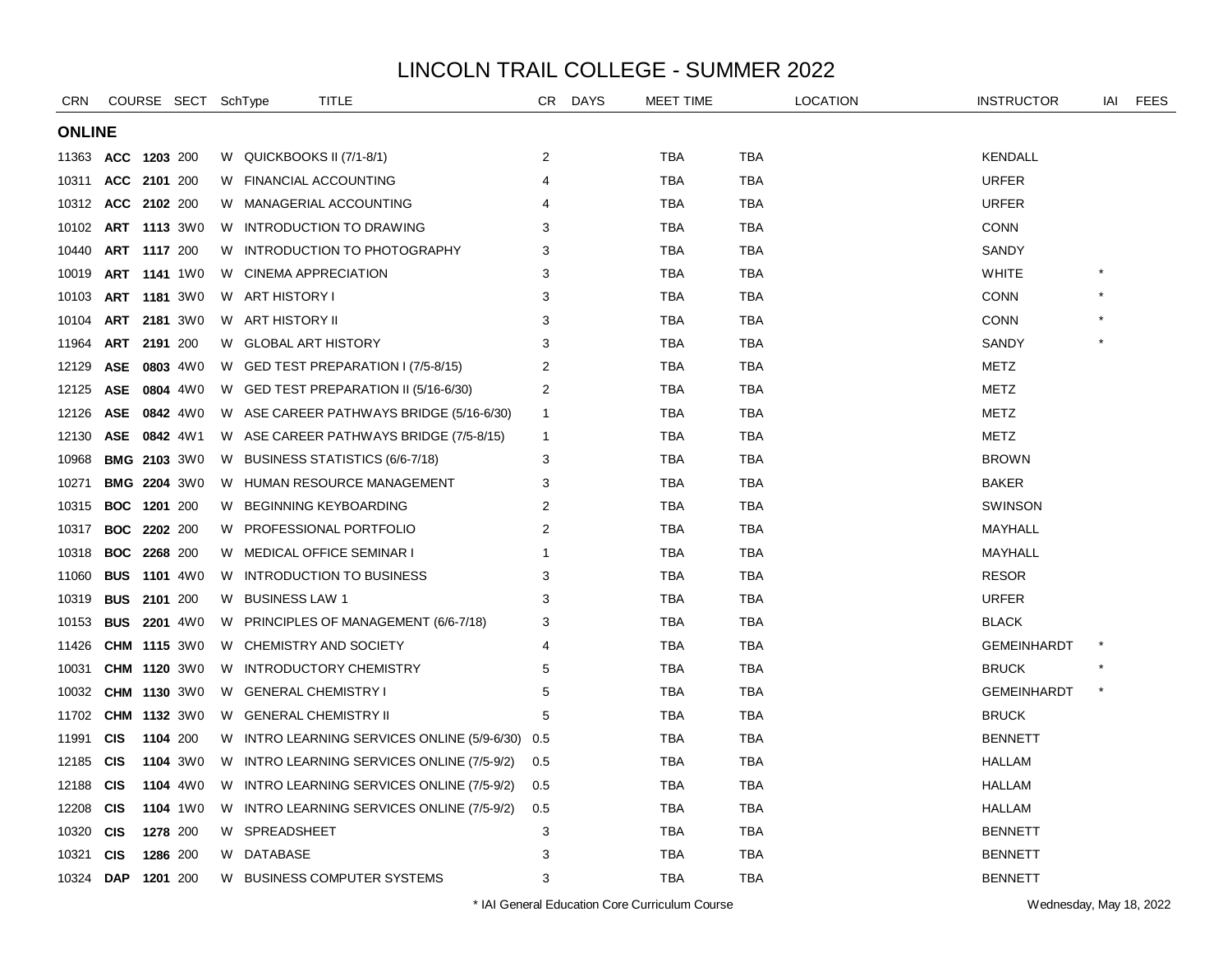| <b>CRN</b>    |                     |                 | COURSE SECT SchType |    | TITLE                                      | CR.            | <b>DAYS</b> | <b>MEET TIME</b> |            | LOCATION | <b>INSTRUCTOR</b>  | IAI | <b>FEES</b> |
|---------------|---------------------|-----------------|---------------------|----|--------------------------------------------|----------------|-------------|------------------|------------|----------|--------------------|-----|-------------|
| <b>ONLINE</b> |                     |                 |                     |    |                                            |                |             |                  |            |          |                    |     |             |
| 11363         | <b>ACC</b>          | 1203 200        |                     |    | W QUICKBOOKS II (7/1-8/1)                  | $\overline{2}$ |             | <b>TBA</b>       | <b>TBA</b> |          | <b>KENDALL</b>     |     |             |
| 10311         | <b>ACC</b>          | 2101 200        |                     |    | W FINANCIAL ACCOUNTING                     | 4              |             | <b>TBA</b>       | <b>TBA</b> |          | <b>URFER</b>       |     |             |
| 10312         | ACC 2102 200        |                 |                     |    | W MANAGERIAL ACCOUNTING                    | 4              |             | TBA              | TBA        |          | <b>URFER</b>       |     |             |
| 10102         | ART 1113 3W0        |                 |                     | W. | <b>INTRODUCTION TO DRAWING</b>             | 3              |             | <b>TBA</b>       | <b>TBA</b> |          | <b>CONN</b>        |     |             |
| 10440         |                     | ART 1117 200    |                     | W. | INTRODUCTION TO PHOTOGRAPHY                | 3              |             | <b>TBA</b>       | <b>TBA</b> |          | <b>SANDY</b>       |     |             |
| 10019         | ART                 |                 | <b>1141</b> 1W0     | W  | <b>CINEMA APPRECIATION</b>                 | 3              |             | <b>TBA</b>       | <b>TBA</b> |          | <b>WHITE</b>       |     |             |
| 10103         | <b>ART 1181 3W0</b> |                 |                     |    | W ART HISTORY I                            | 3              |             | TBA              | <b>TBA</b> |          | <b>CONN</b>        |     |             |
| 10104         |                     |                 | ART 2181 3W0        |    | W ART HISTORY II                           | 3              |             | TBA              | TBA        |          | <b>CONN</b>        |     |             |
| 11964         | ART                 | 2191 200        |                     |    | W GLOBAL ART HISTORY                       | 3              |             | TBA              | TBA        |          | SANDY              |     |             |
| 12129         | <b>ASE</b>          |                 | 0803 4W0            | W. | GED TEST PREPARATION I (7/5-8/15)          | $\overline{2}$ |             | <b>TBA</b>       | <b>TBA</b> |          | METZ               |     |             |
| 12125         | <b>ASE</b>          |                 | 0804 4W0            |    | W GED TEST PREPARATION II (5/16-6/30)      | $\overline{2}$ |             | TBA              | TBA        |          | METZ               |     |             |
| 12126         | ASE                 |                 | 0842 4W0            |    | W ASE CAREER PATHWAYS BRIDGE (5/16-6/30)   | $\mathbf{1}$   |             | TBA              | <b>TBA</b> |          | METZ               |     |             |
| 12130         | ASE                 |                 | 0842 4W1            |    | W ASE CAREER PATHWAYS BRIDGE (7/5-8/15)    | $\mathbf{1}$   |             | TBA              | TBA        |          | METZ               |     |             |
| 10968         |                     |                 | <b>BMG 2103 3W0</b> |    | W BUSINESS STATISTICS (6/6-7/18)           | 3              |             | TBA              | TBA        |          | <b>BROWN</b>       |     |             |
| 10271         |                     |                 | <b>BMG 2204 3W0</b> |    | W HUMAN RESOURCE MANAGEMENT                | 3              |             | TBA              | TBA        |          | <b>BAKER</b>       |     |             |
| 10315         | <b>BOC</b>          | 1201 200        |                     | W. | <b>BEGINNING KEYBOARDING</b>               | 2              |             | <b>TBA</b>       | <b>TBA</b> |          | <b>SWINSON</b>     |     |             |
| 10317         | <b>BOC</b>          | <b>2202</b> 200 |                     | W. | PROFESSIONAL PORTFOLIO                     | $\overline{2}$ |             | <b>TBA</b>       | <b>TBA</b> |          | MAYHALL            |     |             |
| 10318         | <b>BOC</b>          | 2268 200        |                     |    | W MEDICAL OFFICE SEMINAR I                 | -1             |             | <b>TBA</b>       | <b>TBA</b> |          | MAYHALL            |     |             |
| 11060         | <b>BUS</b>          |                 | 1101 4W0            |    | W INTRODUCTION TO BUSINESS                 | 3              |             | TBA              | TBA        |          | <b>RESOR</b>       |     |             |
| 10319         | <b>BUS</b>          | 2101 200        |                     | W  | <b>BUSINESS LAW 1</b>                      | 3              |             | TBA              | TBA        |          | <b>URFER</b>       |     |             |
| 10153         | <b>BUS</b>          |                 | <b>2201</b> 4W0     | W. | PRINCIPLES OF MANAGEMENT (6/6-7/18)        | 3              |             | <b>TBA</b>       | <b>TBA</b> |          | <b>BLACK</b>       |     |             |
| 11426         |                     |                 | <b>CHM 1115 3W0</b> | W  | CHEMISTRY AND SOCIETY                      | 4              |             | <b>TBA</b>       | <b>TBA</b> |          | <b>GEMEINHARDT</b> |     |             |
| 10031         |                     |                 | CHM 1120 3W0        |    | W INTRODUCTORY CHEMISTRY                   | 5              |             | TBA              | <b>TBA</b> |          | <b>BRUCK</b>       |     |             |
| 10032         |                     |                 | <b>CHM 1130 3W0</b> |    | W GENERAL CHEMISTRY I                      | 5              |             | TBA              | TBA        |          | <b>GEMEINHARDT</b> |     |             |
| 11702         |                     |                 | CHM 1132 3W0        |    | W GENERAL CHEMISTRY II                     | 5              |             | <b>TBA</b>       | TBA        |          | <b>BRUCK</b>       |     |             |
| 11991         | <b>CIS</b>          | 1104 200        |                     | W. | INTRO LEARNING SERVICES ONLINE (5/9-6/30)  | 0.5            |             | <b>TBA</b>       | <b>TBA</b> |          | <b>BENNETT</b>     |     |             |
| 12185         | <b>CIS</b>          |                 | 1104 3W0            |    | W INTRO LEARNING SERVICES ONLINE (7/5-9/2) | 0.5            |             | <b>TBA</b>       | <b>TBA</b> |          | <b>HALLAM</b>      |     |             |
| 12188         | <b>CIS</b>          |                 | 1104 4W0            |    | W INTRO LEARNING SERVICES ONLINE (7/5-9/2) | 0.5            |             | TBA              | <b>TBA</b> |          | <b>HALLAM</b>      |     |             |
| 12208         | <b>CIS</b>          |                 | 1104 1W0            |    | W INTRO LEARNING SERVICES ONLINE (7/5-9/2) | 0.5            |             | TBA              | TBA        |          | <b>HALLAM</b>      |     |             |
| 10320         | <b>CIS</b>          |                 | 1278 200            | W. | SPREADSHEET                                | 3              |             | <b>TBA</b>       | TBA        |          | <b>BENNETT</b>     |     |             |
| 10321         | <b>CIS</b>          |                 | 1286 200            |    | W DATABASE                                 | 3              |             | <b>TBA</b>       | TBA        |          | <b>BENNETT</b>     |     |             |
| 10324 DAP     |                     | 1201 200        |                     |    | W BUSINESS COMPUTER SYSTEMS                | 3              |             | <b>TBA</b>       | <b>TBA</b> |          | BENNETT            |     |             |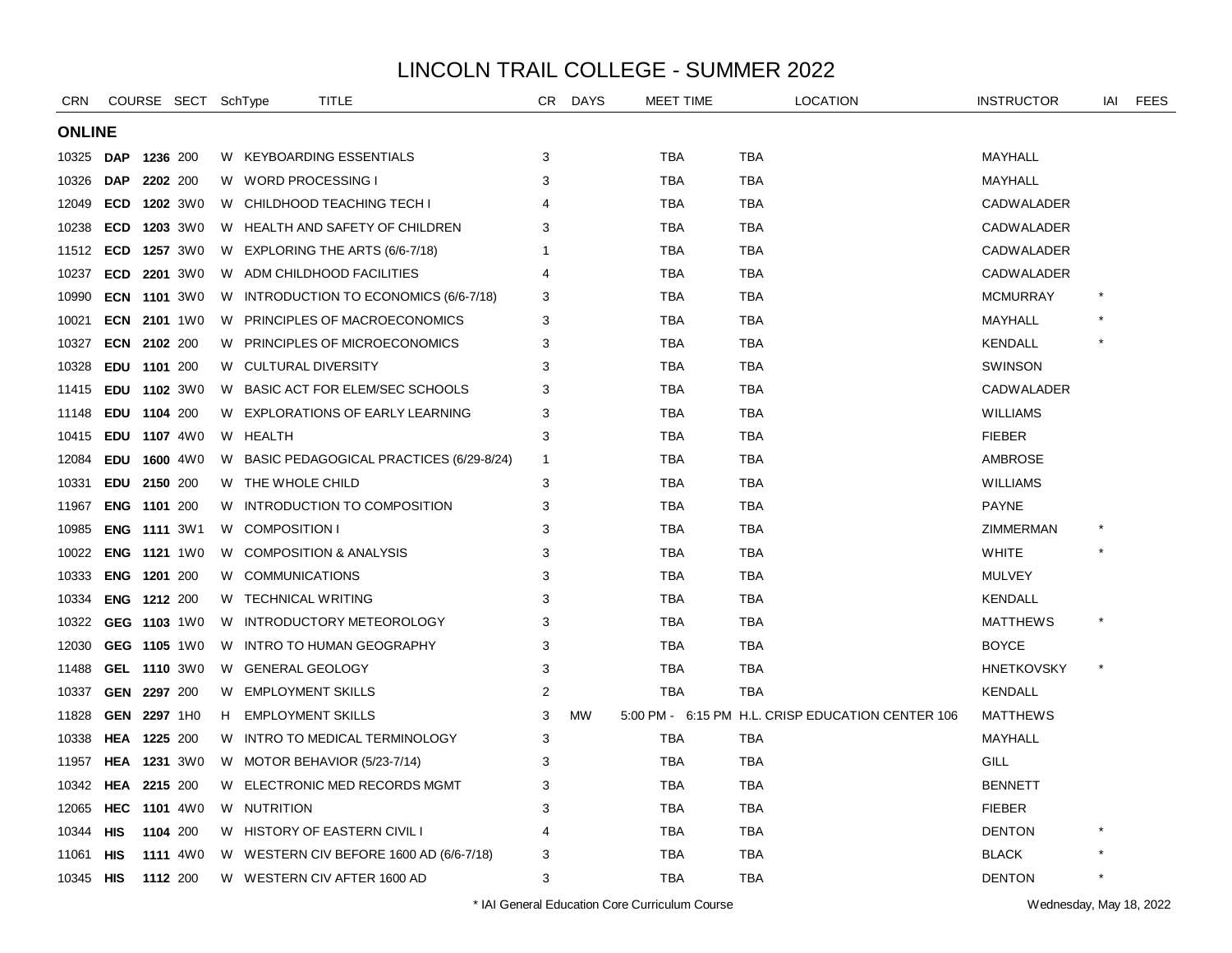| <b>CRN</b> |                     |          | COURSE SECT SchType |    |                          | TITLE                                     | CR             | <b>DAYS</b> |            | <b>MEET TIME</b> |            | <b>LOCATION</b>                                   | <b>INSTRUCTOR</b> | IAI | <b>FEES</b> |
|------------|---------------------|----------|---------------------|----|--------------------------|-------------------------------------------|----------------|-------------|------------|------------------|------------|---------------------------------------------------|-------------------|-----|-------------|
|            | <b>ONLINE</b>       |          |                     |    |                          |                                           |                |             |            |                  |            |                                                   |                   |     |             |
| 10325      | <b>DAP</b>          | 1236 200 |                     |    |                          | W KEYBOARDING ESSENTIALS                  | 3              |             | <b>TBA</b> |                  | <b>TBA</b> |                                                   | MAYHALL           |     |             |
| 10326      | <b>DAP</b>          |          | 2202 200            |    | W WORD PROCESSING I      |                                           | 3              |             | <b>TBA</b> |                  | <b>TBA</b> |                                                   | MAYHALL           |     |             |
| 12049      | <b>ECD</b>          |          | <b>1202</b> 3W0     |    |                          | W CHILDHOOD TEACHING TECH I               |                |             | <b>TBA</b> |                  | <b>TBA</b> |                                                   | <b>CADWALADER</b> |     |             |
| 10238      | <b>ECD</b>          |          | 1203 3W0            |    |                          | W HEALTH AND SAFETY OF CHILDREN           | 3              |             | <b>TBA</b> |                  | TBA        |                                                   | <b>CADWALADER</b> |     |             |
| 11512      | <b>ECD</b>          |          | <b>1257</b> 3W0     |    |                          | W EXPLORING THE ARTS (6/6-7/18)           |                |             | TBA        |                  | TBA        |                                                   | <b>CADWALADER</b> |     |             |
| 10237      | <b>ECD</b>          |          | <b>2201</b> 3W0     |    |                          | W ADM CHILDHOOD FACILITIES                | 4              |             | <b>TBA</b> |                  | <b>TBA</b> |                                                   | CADWALADER        |     |             |
| 10990      |                     |          | <b>ECN 1101 3W0</b> |    |                          | W INTRODUCTION TO ECONOMICS (6/6-7/18)    | 3              |             | <b>TBA</b> |                  | <b>TBA</b> |                                                   | <b>MCMURRAY</b>   |     |             |
| 10021      |                     |          | ECN 2101 1W0        |    |                          | W PRINCIPLES OF MACROECONOMICS            | 3              |             | <b>TBA</b> |                  | <b>TBA</b> |                                                   | MAYHALL           |     |             |
| 10327      | ECN 2102 200        |          |                     |    |                          | W PRINCIPLES OF MICROECONOMICS            | 3              |             | <b>TBA</b> |                  | TBA        |                                                   | <b>KENDALL</b>    |     |             |
| 10328      | EDU 1101 200        |          |                     |    | W CULTURAL DIVERSITY     |                                           | 3              |             | <b>TBA</b> |                  | TBA        |                                                   | <b>SWINSON</b>    |     |             |
| 11415      |                     |          | EDU 1102 3W0        | W. |                          | BASIC ACT FOR ELEM/SEC SCHOOLS            | 3              |             | <b>TBA</b> |                  | TBA        |                                                   | <b>CADWALADER</b> |     |             |
| 11148      | EDU 1104 200        |          |                     | W. |                          | <b>EXPLORATIONS OF EARLY LEARNING</b>     | 3              |             | <b>TBA</b> |                  | TBA        |                                                   | WILLIAMS          |     |             |
| 10415      |                     |          | EDU 1107 4W0        |    | W HEALTH                 |                                           | 3              |             | <b>TBA</b> |                  | <b>TBA</b> |                                                   | <b>FIEBER</b>     |     |             |
| 12084      | EDU 1600 4W0        |          |                     |    |                          | W BASIC PEDAGOGICAL PRACTICES (6/29-8/24) | -1             |             | <b>TBA</b> |                  | <b>TBA</b> |                                                   | <b>AMBROSE</b>    |     |             |
| 10331      | <b>EDU</b>          | 2150 200 |                     |    | W THE WHOLE CHILD        |                                           | 3              |             | <b>TBA</b> |                  | <b>TBA</b> |                                                   | <b>WILLIAMS</b>   |     |             |
| 11967      | <b>ENG</b>          | 1101 200 |                     | W  |                          | INTRODUCTION TO COMPOSITION               | 3              |             | <b>TBA</b> |                  | <b>TBA</b> |                                                   | <b>PAYNE</b>      |     |             |
| 10985      | <b>ENG 1111 3W1</b> |          |                     |    | W COMPOSITION I          |                                           | 3              |             | <b>TBA</b> |                  | <b>TBA</b> |                                                   | ZIMMERMAN         |     |             |
| 10022      |                     |          | <b>ENG 1121 1W0</b> |    |                          | W COMPOSITION & ANALYSIS                  | 3              |             | <b>TBA</b> |                  | <b>TBA</b> |                                                   | <b>WHITE</b>      |     |             |
| 10333      | ENG 1201 200        |          |                     |    | W COMMUNICATIONS         |                                           | 3              |             | <b>TBA</b> |                  | <b>TBA</b> |                                                   | <b>MULVEY</b>     |     |             |
| 10334      | <b>ENG 1212 200</b> |          |                     |    | W TECHNICAL WRITING      |                                           | 3              |             | <b>TBA</b> |                  | TBA        |                                                   | <b>KENDALL</b>    |     |             |
| 10322      |                     |          | GEG 1103 1W0        | W. |                          | INTRODUCTORY METEOROLOGY                  | 3              |             | <b>TBA</b> |                  | <b>TBA</b> |                                                   | <b>MATTHEWS</b>   |     |             |
| 12030      |                     |          | GEG 1105 1W0        | W. |                          | <b>INTRO TO HUMAN GEOGRAPHY</b>           | 3              |             | TBA        |                  | TBA        |                                                   | BOYCE             |     |             |
| 11488      |                     |          | GEL 1110 3W0        | W  | <b>GENERAL GEOLOGY</b>   |                                           | 3              |             | <b>TBA</b> |                  | <b>TBA</b> |                                                   | HNETKOVSKY        |     |             |
| 10337      | GEN 2297 200        |          |                     |    | W EMPLOYMENT SKILLS      |                                           | $\overline{2}$ |             | <b>TBA</b> |                  | <b>TBA</b> |                                                   | <b>KENDALL</b>    |     |             |
| 11828      | GEN 2297 1H0        |          |                     | H  | <b>EMPLOYMENT SKILLS</b> |                                           | 3              | <b>MW</b>   |            |                  |            | 5:00 PM - 6:15 PM H.L. CRISP EDUCATION CENTER 106 | <b>MATTHEWS</b>   |     |             |
| 10338      | HEA 1225 200        |          |                     | W. |                          | INTRO TO MEDICAL TERMINOLOGY              | 3              |             | <b>TBA</b> |                  | TBA        |                                                   | MAYHALL           |     |             |
| 11957      | <b>HEA 1231 3W0</b> |          |                     |    |                          | W MOTOR BEHAVIOR (5/23-7/14)              | 3              |             | <b>TBA</b> |                  | <b>TBA</b> |                                                   | GILL              |     |             |
| 10342      | HEA                 | 2215 200 |                     |    |                          | W ELECTRONIC MED RECORDS MGMT             | 3              |             | <b>TBA</b> |                  | TBA        |                                                   | <b>BENNETT</b>    |     |             |
| 12065      | HEC                 |          | <b>1101</b> 4W0     |    | W NUTRITION              |                                           | 3              |             | <b>TBA</b> |                  | <b>TBA</b> |                                                   | <b>FIEBER</b>     |     |             |
| 10344      | HIS                 |          | 1104 200            |    |                          | W HISTORY OF EASTERN CIVIL I              | 4              |             | <b>TBA</b> |                  | <b>TBA</b> |                                                   | <b>DENTON</b>     |     |             |
| 11061      | <b>HIS</b>          |          | 1111 4W0            |    |                          | W WESTERN CIV BEFORE 1600 AD (6/6-7/18)   | 3              |             | <b>TBA</b> |                  | <b>TBA</b> |                                                   | <b>BLACK</b>      |     |             |
| 10345      | HIS                 |          | 1112 200            |    |                          | W WESTERN CIV AFTER 1600 AD               | 3              |             | <b>TBA</b> |                  | <b>TBA</b> |                                                   | <b>DENTON</b>     |     |             |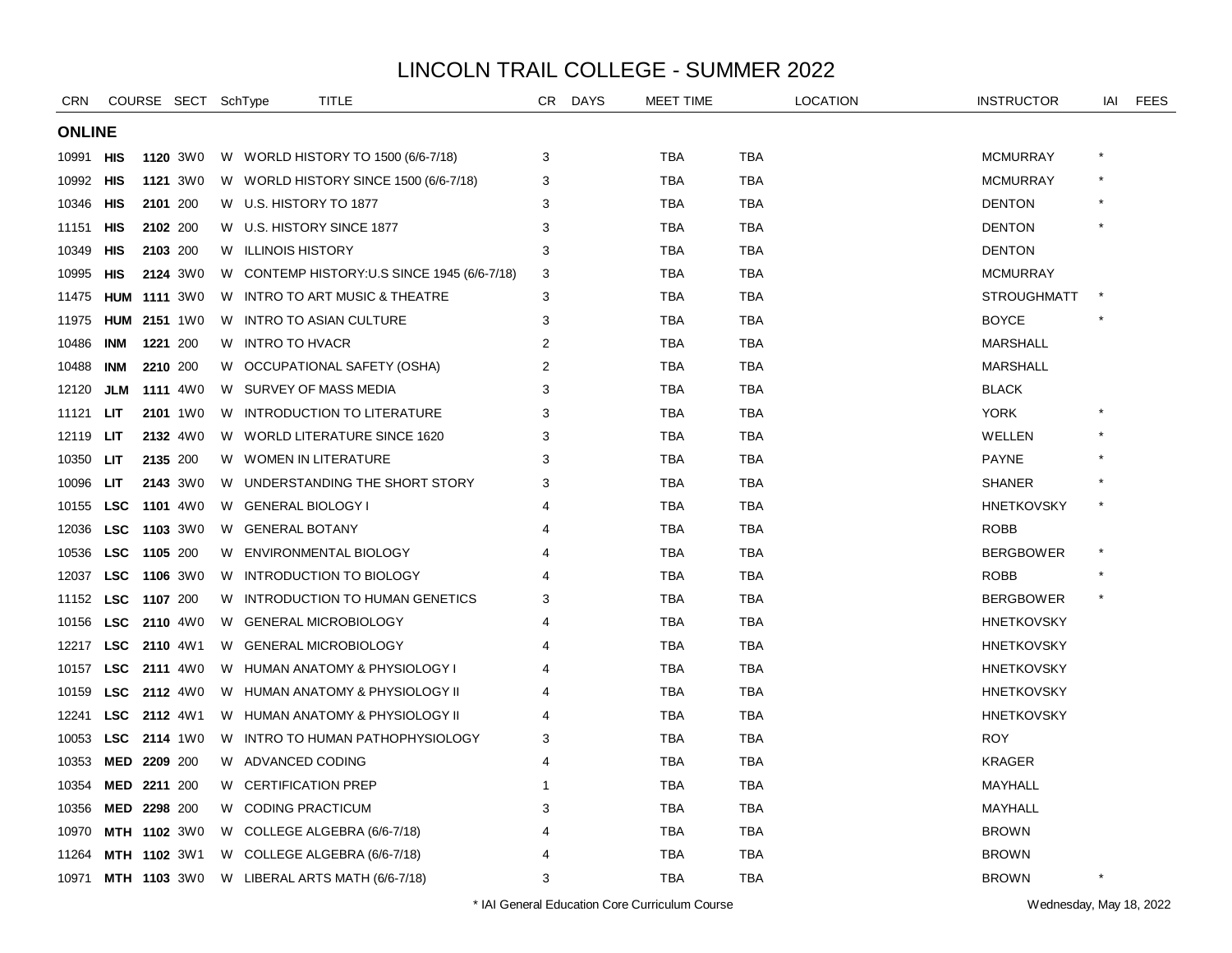| <b>CRN</b>    |                     |                 | COURSE SECT SchType |    | TITLE                          |                                              | CR.            | <b>DAYS</b> | <b>MEET TIME</b> |            | <b>LOCATION</b> | <b>INSTRUCTOR</b>  | IAI | <b>FEES</b> |
|---------------|---------------------|-----------------|---------------------|----|--------------------------------|----------------------------------------------|----------------|-------------|------------------|------------|-----------------|--------------------|-----|-------------|
| <b>ONLINE</b> |                     |                 |                     |    |                                |                                              |                |             |                  |            |                 |                    |     |             |
| 10991         | <b>HIS</b>          |                 | 1120 3W0            |    |                                | W WORLD HISTORY TO 1500 (6/6-7/18)           | 3              |             | <b>TBA</b>       | <b>TBA</b> |                 | <b>MCMURRAY</b>    |     |             |
| 10992         | HIS                 |                 | 1121 3W0            |    |                                | W WORLD HISTORY SINCE 1500 (6/6-7/18)        | 3              |             | <b>TBA</b>       | <b>TBA</b> |                 | <b>MCMURRAY</b>    |     |             |
| 10346         | HIS                 | 2101 200        |                     |    | W U.S. HISTORY TO 1877         |                                              | 3              |             | TBA              | TBA        |                 | <b>DENTON</b>      |     |             |
| 11151         | HIS                 | 2102 200        |                     |    | W U.S. HISTORY SINCE 1877      |                                              | 3              |             | TBA              | <b>TBA</b> |                 | <b>DENTON</b>      |     |             |
| 10349         | HIS                 | 2103 200        |                     | W. | <b>ILLINOIS HISTORY</b>        |                                              | 3              |             | <b>TBA</b>       | <b>TBA</b> |                 | <b>DENTON</b>      |     |             |
| 10995         | HIS                 |                 | 2124 3W0            |    |                                | W CONTEMP HISTORY: U.S SINCE 1945 (6/6-7/18) | 3              |             | <b>TBA</b>       | <b>TBA</b> |                 | <b>MCMURRAY</b>    |     |             |
| 11475         | <b>HUM 1111 3W0</b> |                 |                     |    |                                | W INTRO TO ART MUSIC & THEATRE               | 3              |             | <b>TBA</b>       | <b>TBA</b> |                 | <b>STROUGHMATT</b> |     |             |
| 11975         | <b>HUM</b>          | <b>2151</b> 1W0 |                     |    | W INTRO TO ASIAN CULTURE       |                                              | 3              |             | TBA              | <b>TBA</b> |                 | <b>BOYCE</b>       |     |             |
| 10486         | <b>INM</b>          | 1221 200        |                     |    | W INTRO TO HVACR               |                                              | 2              |             | TBA              | TBA        |                 | <b>MARSHALL</b>    |     |             |
| 10488         | INM                 | 2210 200        |                     |    |                                | W OCCUPATIONAL SAFETY (OSHA)                 | $\overline{2}$ |             | <b>TBA</b>       | <b>TBA</b> |                 | <b>MARSHALL</b>    |     |             |
| 12120         | <b>JLM</b>          |                 | 1111 4W0            |    | W SURVEY OF MASS MEDIA         |                                              | 3              |             | <b>TBA</b>       | <b>TBA</b> |                 | <b>BLACK</b>       |     |             |
| 11121         | LIT                 |                 | 2101 1W0            | W  |                                | INTRODUCTION TO LITERATURE                   | 3              |             | <b>TBA</b>       | <b>TBA</b> |                 | <b>YORK</b>        |     |             |
| 12119         | LIТ                 |                 | 2132 4W0            |    |                                | W WORLD LITERATURE SINCE 1620                | 3              |             | <b>TBA</b>       | <b>TBA</b> |                 | WELLEN             |     |             |
| 10350         | LIT                 | 2135 200        |                     |    | W WOMEN IN LITERATURE          |                                              | 3              |             | <b>TBA</b>       | TBA        |                 | <b>PAYNE</b>       |     |             |
| 10096         | LIT                 |                 | 2143 3W0            |    |                                | W UNDERSTANDING THE SHORT STORY              | 3              |             | TBA              | TBA        |                 | <b>SHANER</b>      |     |             |
| 10155         | <b>LSC</b>          |                 | 1101 4W0            |    | W GENERAL BIOLOGY I            |                                              |                |             | <b>TBA</b>       | <b>TBA</b> |                 | <b>HNETKOVSKY</b>  |     |             |
| 12036         | <b>LSC</b>          | 1103 3W0        |                     | W  | <b>GENERAL BOTANY</b>          |                                              | 4              |             | <b>TBA</b>       | <b>TBA</b> |                 | <b>ROBB</b>        |     |             |
| 10536         | <b>LSC</b>          | 1105 200        |                     |    | W ENVIRONMENTAL BIOLOGY        |                                              | 4              |             | <b>TBA</b>       | <b>TBA</b> |                 | <b>BERGBOWER</b>   |     |             |
| 12037         | <b>LSC</b>          | 1106 3W0        |                     |    | W INTRODUCTION TO BIOLOGY      |                                              |                |             | TBA              | TBA        |                 | <b>ROBB</b>        |     |             |
| 11152         | <b>LSC</b>          | 1107 200        |                     | W  |                                | <b>INTRODUCTION TO HUMAN GENETICS</b>        | 3              |             | TBA              | TBA        |                 | <b>BERGBOWER</b>   |     |             |
| 10156         | <b>LSC</b>          |                 | <b>2110</b> 4W0     | W. | <b>GENERAL MICROBIOLOGY</b>    |                                              |                |             | <b>TBA</b>       | <b>TBA</b> |                 | <b>HNETKOVSKY</b>  |     |             |
| 12217         | <b>LSC</b>          | <b>2110</b> 4W1 |                     | W  | <b>GENERAL MICROBIOLOGY</b>    |                                              |                |             | <b>TBA</b>       | <b>TBA</b> |                 | <b>HNETKOVSKY</b>  |     |             |
| 10157         | <b>LSC</b>          |                 | <b>2111</b> 4W0     |    |                                | W HUMAN ANATOMY & PHYSIOLOGY I               |                |             | <b>TBA</b>       | TBA        |                 | <b>HNETKOVSKY</b>  |     |             |
| 10159         | <b>LSC</b> 2112 4W0 |                 |                     |    |                                | W HUMAN ANATOMY & PHYSIOLOGY II              | Δ              |             | TBA              | TBA        |                 | <b>HNETKOVSKY</b>  |     |             |
| 12241         | <b>LSC</b>          | <b>2112</b> 4W1 |                     |    |                                | W HUMAN ANATOMY & PHYSIOLOGY II              |                |             | <b>TBA</b>       | TBA        |                 | <b>HNETKOVSKY</b>  |     |             |
| 10053         | <b>LSC</b>          |                 | <b>2114</b> 1W0     | W. |                                | INTRO TO HUMAN PATHOPHYSIOLOGY               | 3              |             | <b>TBA</b>       | <b>TBA</b> |                 | <b>ROY</b>         |     |             |
| 10353         | MED 2209 200        |                 |                     |    | W ADVANCED CODING              |                                              | 4              |             | <b>TBA</b>       | <b>TBA</b> |                 | <b>KRAGER</b>      |     |             |
| 10354         | MED 2211 200        |                 |                     | W  | <b>CERTIFICATION PREP</b>      |                                              | -1             |             | <b>TBA</b>       | <b>TBA</b> |                 | MAYHALL            |     |             |
| 10356         | MED 2298 200        |                 |                     |    | W CODING PRACTICUM             |                                              | 3              |             | TBA              | <b>TBA</b> |                 | MAYHALL            |     |             |
| 10970         | MTH 1102 3W0        |                 |                     |    | W COLLEGE ALGEBRA (6/6-7/18)   |                                              |                |             | TBA              | TBA        |                 | <b>BROWN</b>       |     |             |
| 11264         | MTH 1102 3W1        |                 |                     |    | W COLLEGE ALGEBRA (6/6-7/18)   |                                              |                |             | TBA              | TBA        |                 | <b>BROWN</b>       |     |             |
| 10971         | <b>MTH 1103 3W0</b> |                 |                     |    | W LIBERAL ARTS MATH (6/6-7/18) |                                              | 3              |             | <b>TBA</b>       | <b>TBA</b> |                 | <b>BROWN</b>       |     |             |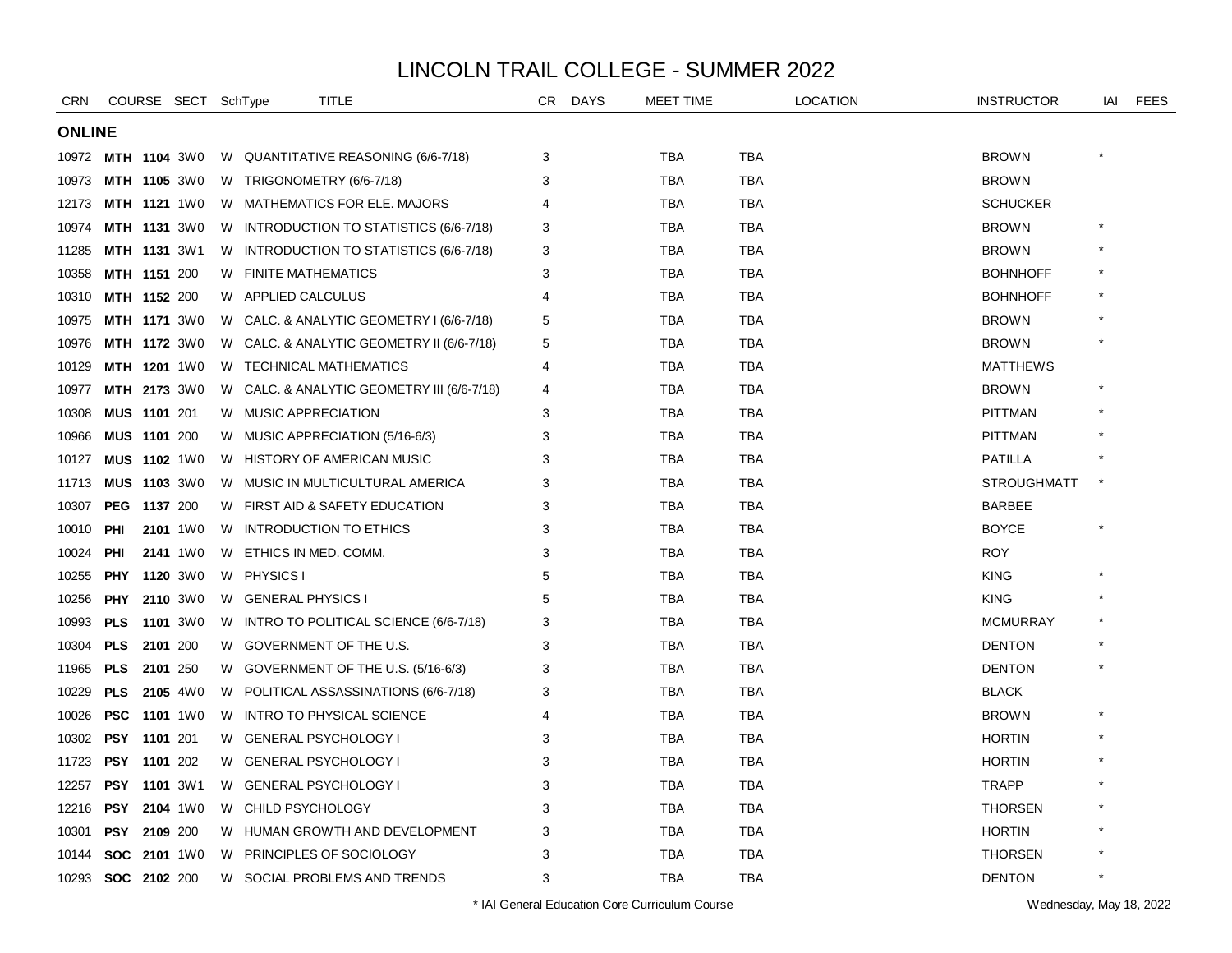| CRN           |                    | COURSE SECT SchType |    |                             | TITLE                                    | CR.            | <b>DAYS</b> | <b>MEET TIME</b> |            | <b>LOCATION</b> | <b>INSTRUCTOR</b>  | IAI | <b>FEES</b> |
|---------------|--------------------|---------------------|----|-----------------------------|------------------------------------------|----------------|-------------|------------------|------------|-----------------|--------------------|-----|-------------|
| <b>ONLINE</b> |                    |                     |    |                             |                                          |                |             |                  |            |                 |                    |     |             |
| 10972         |                    | MTH 1104 3W0        |    |                             | W QUANTITATIVE REASONING (6/6-7/18)      | 3              |             | TBA              | TBA        |                 | <b>BROWN</b>       |     |             |
| 10973         |                    | MTH 1105 3W0        |    | W TRIGONOMETRY (6/6-7/18)   |                                          | 3              |             | TBA              | <b>TBA</b> |                 | <b>BROWN</b>       |     |             |
| 12173         |                    | <b>MTH 1121 1W0</b> |    |                             | W MATHEMATICS FOR ELE. MAJORS            | 4              |             | <b>TBA</b>       | <b>TBA</b> |                 | <b>SCHUCKER</b>    |     |             |
| 10974         |                    | MTH 1131 3W0        |    |                             | W INTRODUCTION TO STATISTICS (6/6-7/18)  | 3              |             | <b>TBA</b>       | <b>TBA</b> |                 | <b>BROWN</b>       |     |             |
| 11285         |                    | MTH 1131 3W1        | W  |                             | INTRODUCTION TO STATISTICS (6/6-7/18)    | 3              |             | <b>TBA</b>       | <b>TBA</b> |                 | <b>BROWN</b>       |     |             |
| 10358         |                    | <b>MTH 1151 200</b> | W  | <b>FINITE MATHEMATICS</b>   |                                          | 3              |             | TBA              | <b>TBA</b> |                 | <b>BOHNHOFF</b>    |     |             |
| 10310         |                    | <b>MTH 1152 200</b> |    | W APPLIED CALCULUS          |                                          | 4              |             | <b>TBA</b>       | <b>TBA</b> |                 | <b>BOHNHOFF</b>    |     |             |
| 10975         |                    | <b>MTH 1171 3W0</b> |    |                             | W CALC. & ANALYTIC GEOMETRY I (6/6-7/18) | 5              |             | <b>TBA</b>       | <b>TBA</b> |                 | <b>BROWN</b>       |     |             |
| 10976         |                    | MTH 1172 3W0        | W. |                             | CALC. & ANALYTIC GEOMETRY II (6/6-7/18)  | 5              |             | <b>TBA</b>       | <b>TBA</b> |                 | <b>BROWN</b>       |     |             |
| 10129         |                    | MTH 1201 1W0        | W. |                             | <b>TECHNICAL MATHEMATICS</b>             | $\overline{4}$ |             | <b>TBA</b>       | <b>TBA</b> |                 | <b>MATTHEWS</b>    |     |             |
| 10977         |                    | <b>MTH 2173 3W0</b> | W  |                             | CALC. & ANALYTIC GEOMETRY III (6/6-7/18) | 4              |             | TBA              | TBA        |                 | <b>BROWN</b>       |     |             |
| 10308         |                    | <b>MUS 1101 201</b> |    | W MUSIC APPRECIATION        |                                          | 3              |             | <b>TBA</b>       | TBA        |                 | <b>PITTMAN</b>     |     |             |
| 10966         |                    | <b>MUS 1101 200</b> |    |                             | W MUSIC APPRECIATION (5/16-6/3)          | 3              |             | <b>TBA</b>       | <b>TBA</b> |                 | <b>PITTMAN</b>     |     |             |
| 10127         |                    | MUS 1102 1W0        |    |                             | W HISTORY OF AMERICAN MUSIC              | 3              |             | <b>TBA</b>       | <b>TBA</b> |                 | <b>PATILLA</b>     |     |             |
| 11713         |                    | <b>MUS 1103 3W0</b> | W  |                             | MUSIC IN MULTICULTURAL AMERICA           | 3              |             | <b>TBA</b>       | <b>TBA</b> |                 | <b>STROUGHMATT</b> |     |             |
| 10307         |                    | <b>PEG 1137 200</b> |    |                             | W FIRST AID & SAFETY EDUCATION           | 3              |             | <b>TBA</b>       | <b>TBA</b> |                 | <b>BARBEE</b>      |     |             |
| 10010         | <b>PHI</b>         | 2101 1W0            | W  |                             | INTRODUCTION TO ETHICS                   | 3              |             | <b>TBA</b>       | TBA        |                 | <b>BOYCE</b>       |     |             |
| 10024         | <b>PHI</b>         | 2141 1W0            | W  | ETHICS IN MED. COMM.        |                                          | 3              |             | <b>TBA</b>       | <b>TBA</b> |                 | <b>ROY</b>         |     |             |
| 10255         | <b>PHY</b>         | 1120 3W0            |    | W PHYSICS I                 |                                          | 5              |             | <b>TBA</b>       | <b>TBA</b> |                 | <b>KING</b>        |     |             |
| 10256         | <b>PHY</b>         | 2110 3W0            | W  | <b>GENERAL PHYSICS I</b>    |                                          | 5              |             | <b>TBA</b>       | <b>TBA</b> |                 | <b>KING</b>        |     |             |
| 10993         | <b>PLS</b>         | 1101 3W0            | W  |                             | INTRO TO POLITICAL SCIENCE (6/6-7/18)    | 3              |             | <b>TBA</b>       | <b>TBA</b> |                 | <b>MCMURRAY</b>    |     |             |
| 10304         | <b>PLS</b>         | 2101 200            | W  |                             | GOVERNMENT OF THE U.S.                   | 3              |             | TBA              | <b>TBA</b> |                 | <b>DENTON</b>      |     |             |
| 11965         | <b>PLS</b>         | 2101 250            | W  |                             | GOVERNMENT OF THE U.S. (5/16-6/3)        | 3              |             | <b>TBA</b>       | <b>TBA</b> |                 | <b>DENTON</b>      |     |             |
| 10229         | <b>PLS</b>         | 2105 4W0            | W  |                             | POLITICAL ASSASSINATIONS (6/6-7/18)      | 3              |             | <b>TBA</b>       | <b>TBA</b> |                 | <b>BLACK</b>       |     |             |
| 10026         | <b>PSC</b>         | 1101 1W0            | W  |                             | <b>INTRO TO PHYSICAL SCIENCE</b>         | 4              |             | <b>TBA</b>       | <b>TBA</b> |                 | <b>BROWN</b>       |     |             |
| 10302         | PSY                | 1101 201            | W  | <b>GENERAL PSYCHOLOGY I</b> |                                          | 3              |             | <b>TBA</b>       | TBA        |                 | <b>HORTIN</b>      |     |             |
| 11723         |                    | <b>PSY 1101 202</b> | W  | <b>GENERAL PSYCHOLOGY I</b> |                                          | 3              |             | <b>TBA</b>       | <b>TBA</b> |                 | <b>HORTIN</b>      |     |             |
| 12257         |                    | PSY 1101 3W1        | W  | <b>GENERAL PSYCHOLOGY I</b> |                                          | 3              |             | <b>TBA</b>       | <b>TBA</b> |                 | <b>TRAPP</b>       |     |             |
| 12216         | <b>PSY</b>         | 2104 1W0            | W. | CHILD PSYCHOLOGY            |                                          | 3              |             | <b>TBA</b>       | <b>TBA</b> |                 | <b>THORSEN</b>     |     |             |
| 10301         | <b>PSY</b>         | 2109 200            | W  |                             | HUMAN GROWTH AND DEVELOPMENT             | 3              |             | <b>TBA</b>       | TBA        |                 | <b>HORTIN</b>      |     |             |
| 10144         | <b>SOC</b>         | <b>2101</b> 1W0     | W  |                             | PRINCIPLES OF SOCIOLOGY                  | 3              |             | <b>TBA</b>       | TBA        |                 | <b>THORSEN</b>     |     |             |
|               | 10293 SOC 2102 200 |                     | W  |                             | SOCIAL PROBLEMS AND TRENDS               | 3              |             | <b>TBA</b>       | <b>TBA</b> |                 | <b>DENTON</b>      |     |             |